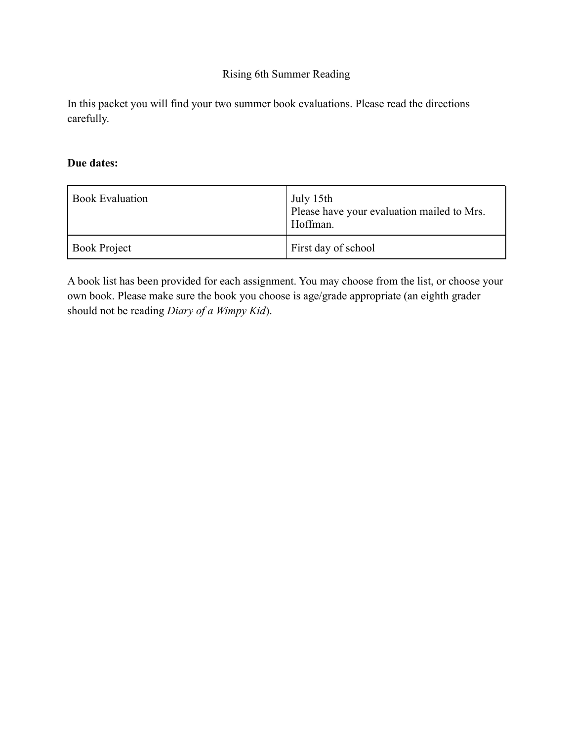#### Rising 6th Summer Reading

In this packet you will find your two summer book evaluations. Please read the directions carefully.

#### **Due dates:**

| <b>Book Evaluation</b> | July 15th<br>Please have your evaluation mailed to Mrs.<br>Hoffman. |
|------------------------|---------------------------------------------------------------------|
| <b>Book Project</b>    | First day of school                                                 |

A book list has been provided for each assignment. You may choose from the list, or choose your own book. Please make sure the book you choose is age/grade appropriate (an eighth grader should not be reading *Diary of a Wimpy Kid*).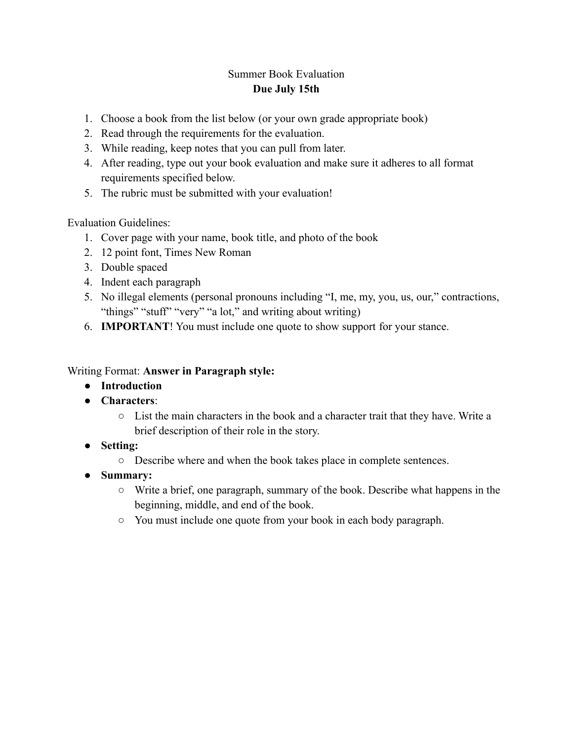#### Summer Book Evaluation **Due July 15th**

- 1. Choose a book from the list below (or your own grade appropriate book)
- 2. Read through the requirements for the evaluation.
- 3. While reading, keep notes that you can pull from later.
- 4. After reading, type out your book evaluation and make sure it adheres to all format requirements specified below.
- 5. The rubric must be submitted with your evaluation!

Evaluation Guidelines:

- 1. Cover page with your name, book title, and photo of the book
- 2. 12 point font, Times New Roman
- 3. Double spaced
- 4. Indent each paragraph
- 5. No illegal elements (personal pronouns including "I, me, my, you, us, our," contractions, "things" "stuff" "very" "a lot," and writing about writing)
- 6. **IMPORTANT**! You must include one quote to show support for your stance.

#### Writing Format: **Answer in Paragraph style:**

- **Introduction**
- **Characters**:
	- List the main characters in the book and a character trait that they have. Write a brief description of their role in the story.
- **Setting:**
	- Describe where and when the book takes place in complete sentences.
- **Summary:**
	- Write a brief, one paragraph, summary of the book. Describe what happens in the beginning, middle, and end of the book.
	- You must include one quote from your book in each body paragraph.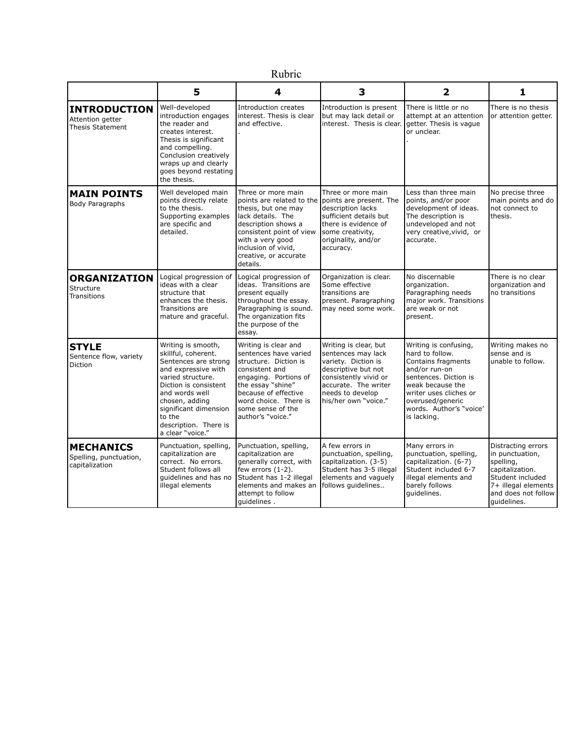## Rubric

|                                                              | 5                                                                                                                                                                                                                                                          | 4                                                                                                                                                                                                                                                       | 3                                                                                                                                                                                      | $\mathbf{2}$                                                                                                                                                                                                         | 1                                                                                                                                                      |
|--------------------------------------------------------------|------------------------------------------------------------------------------------------------------------------------------------------------------------------------------------------------------------------------------------------------------------|---------------------------------------------------------------------------------------------------------------------------------------------------------------------------------------------------------------------------------------------------------|----------------------------------------------------------------------------------------------------------------------------------------------------------------------------------------|----------------------------------------------------------------------------------------------------------------------------------------------------------------------------------------------------------------------|--------------------------------------------------------------------------------------------------------------------------------------------------------|
| <b>INTRODUCTION</b><br>Attention getter<br>Thesis Statement  | Well-developed<br>introduction engages<br>the reader and<br>creates interest.<br>Thesis is significant<br>and compelling.<br>Conclusion creatively<br>wraps up and clearly<br>goes beyond restating<br>the thesis.                                         | Introduction creates<br>linterest. Thesis is clear<br>and effective.                                                                                                                                                                                    | Introduction is present<br>but may lack detail or<br>interest. Thesis is clear.                                                                                                        | There is little or no<br>attempt at an attention<br>getter. Thesis is vague<br>or unclear.                                                                                                                           | There is no thesis<br>or attention getter.                                                                                                             |
| <b>MAIN POINTS</b><br><b>Body Paragraphs</b>                 | Well developed main<br>points directly relate<br>to the thesis.<br>Supporting examples<br>are specific and<br>detailed.                                                                                                                                    | Three or more main<br>points are related to the lpoints are present. The<br>thesis, but one may<br>lack details. The<br>description shows a<br>consistent point of view<br>with a very good<br>inclusion of vivid,<br>creative, or accurate<br>details. | Three or more main<br>description lacks<br>sufficient details but<br>there is evidence of<br>some creativity,<br>originality, and/or<br>accuracy.                                      | Less than three main<br>points, and/or poor<br>development of ideas.<br>The description is<br>undeveloped and not<br>very creative, vivid, or<br>accurate.                                                           | No precise three<br>main points and do<br>not connect to<br>thesis.                                                                                    |
| <b>ORGANIZATION</b><br>Structure<br><b>Transitions</b>       | Logical progression of<br>ideas with a clear<br>structure that<br>enhances the thesis.<br>Transitions are<br>mature and graceful.                                                                                                                          | Logical progression of<br>ideas. Transitions are<br>present equally<br>throughout the essay.<br>Paragraphing is sound.<br>The organization fits<br>the purpose of the<br>essay.                                                                         | Organization is clear.<br>Some effective<br>transitions are<br>present. Paragraphing<br>may need some work.                                                                            | No discernable<br>organization.<br>Paragraphing needs<br>major work. Transitions<br>are weak or not<br>present.                                                                                                      | There is no clear<br>organization and<br>no transitions                                                                                                |
| <b>STYLE</b><br>Sentence flow, variety<br>Diction            | Writing is smooth,<br>skillful, coherent.<br>Sentences are strong<br>and expressive with<br>varied structure.<br>Diction is consistent<br>and words well<br>chosen, adding<br>significant dimension<br>to the<br>description. There is<br>a clear "voice." | Writing is clear and<br>sentences have varied<br>structure. Diction is<br>consistent and<br>engaging. Portions of<br>the essay "shine"<br>because of effective<br>word choice. There is<br>some sense of the<br>author's "voice."                       | Writing is clear, but<br>sentences may lack<br>variety. Diction is<br>descriptive but not<br>consistently vivid or<br>accurate. The writer<br>needs to develop<br>his/her own "voice." | Writing is confusing,<br>hard to follow.<br>Contains fragments<br>and/or run-on<br>sentences. Diction is<br>weak because the<br>writer uses cliches or<br>overused/generic<br>words. Author's "voice'<br>is lacking. | Writing makes no<br>sense and is<br>unable to follow.                                                                                                  |
| <b>MECHANICS</b><br>Spelling, punctuation,<br>capitalization | Punctuation, spelling,<br>capitalization are<br>correct. No errors.<br>Student follows all<br>quidelines and has no<br>illegal elements                                                                                                                    | Punctuation, spelling,<br>capitalization are<br>generally correct, with<br>few errors (1-2).<br>Student has 1-2 illegal<br>elements and makes an<br>attempt to follow<br>quidelines.                                                                    | A few errors in<br>punctuation, spelling,<br>capitalization. (3-5)<br>Student has 3-5 illegal<br>elements and vaguely<br>follows guidelines                                            | Many errors in<br>punctuation, spelling,<br>capitalization. (6-7)<br>Student included 6-7<br>illegal elements and<br>barely follows<br>quidelines.                                                                   | Distracting errors<br>in punctuation,<br>spelling,<br>capitalization.<br>Student included<br>7+ illegal elements<br>and does not follow<br>quidelines. |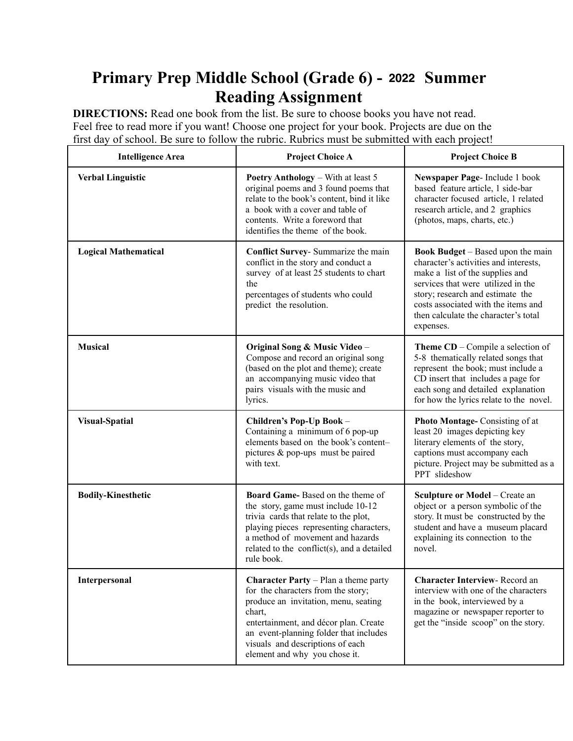# **Primary Prep Middle School (Grade 6) - 2021 Summer 2022Reading Assignment**

**DIRECTIONS:** Read one book from the list. Be sure to choose books you have not read. Feel free to read more if you want! Choose one project for your book. Projects are due on the first day of school. Be sure to follow the rubric. Rubrics must be submitted with each project!

| <b>Intelligence Area</b>    | <b>Project Choice A</b>                                                                                                                                                                                                                                                              | <b>Project Choice B</b>                                                                                                                                                                                                                                                                    |
|-----------------------------|--------------------------------------------------------------------------------------------------------------------------------------------------------------------------------------------------------------------------------------------------------------------------------------|--------------------------------------------------------------------------------------------------------------------------------------------------------------------------------------------------------------------------------------------------------------------------------------------|
| <b>Verbal Linguistic</b>    | <b>Poetry Anthology</b> – With at least 5<br>original poems and 3 found poems that<br>relate to the book's content, bind it like<br>a book with a cover and table of<br>contents. Write a foreword that<br>identifies the theme of the book.                                         | Newspaper Page-Include 1 book<br>based feature article, 1 side-bar<br>character focused article, 1 related<br>research article, and 2 graphics<br>(photos, maps, charts, etc.)                                                                                                             |
| <b>Logical Mathematical</b> | Conflict Survey- Summarize the main<br>conflict in the story and conduct a<br>survey of at least 25 students to chart<br>the<br>percentages of students who could<br>predict the resolution.                                                                                         | <b>Book Budget</b> – Based upon the main<br>character's activities and interests,<br>make a list of the supplies and<br>services that were utilized in the<br>story; research and estimate the<br>costs associated with the items and<br>then calculate the character's total<br>expenses. |
| <b>Musical</b>              | Original Song & Music Video -<br>Compose and record an original song<br>(based on the plot and theme); create<br>an accompanying music video that<br>pairs visuals with the music and<br>lyrics.                                                                                     | <b>Theme CD</b> – Compile a selection of<br>5-8 thematically related songs that<br>represent the book; must include a<br>CD insert that includes a page for<br>each song and detailed explanation<br>for how the lyrics relate to the novel.                                               |
| <b>Visual-Spatial</b>       | Children's Pop-Up Book -<br>Containing a minimum of 6 pop-up<br>elements based on the book's content-<br>pictures $& pop-ups \text{ must be paired}$<br>with text.                                                                                                                   | Photo Montage- Consisting of at<br>least 20 images depicting key<br>literary elements of the story,<br>captions must accompany each<br>picture. Project may be submitted as a<br>PPT slideshow                                                                                             |
| <b>Bodily-Kinesthetic</b>   | Board Game-Based on the theme of<br>the story, game must include 10-12<br>trivia cards that relate to the plot,<br>playing pieces representing characters,<br>a method of movement and hazards<br>related to the conflict(s), and a detailed<br>rule book.                           | Sculpture or Model - Create an<br>object or a person symbolic of the<br>story. It must be constructed by the<br>student and have a museum placard<br>explaining its connection to the<br>novel.                                                                                            |
| Interpersonal               | Character Party - Plan a theme party<br>for the characters from the story;<br>produce an invitation, menu, seating<br>chart,<br>entertainment, and décor plan. Create<br>an event-planning folder that includes<br>visuals and descriptions of each<br>element and why you chose it. | <b>Character Interview-Record an</b><br>interview with one of the characters<br>in the book, interviewed by a<br>magazine or newspaper reporter to<br>get the "inside scoop" on the story.                                                                                                 |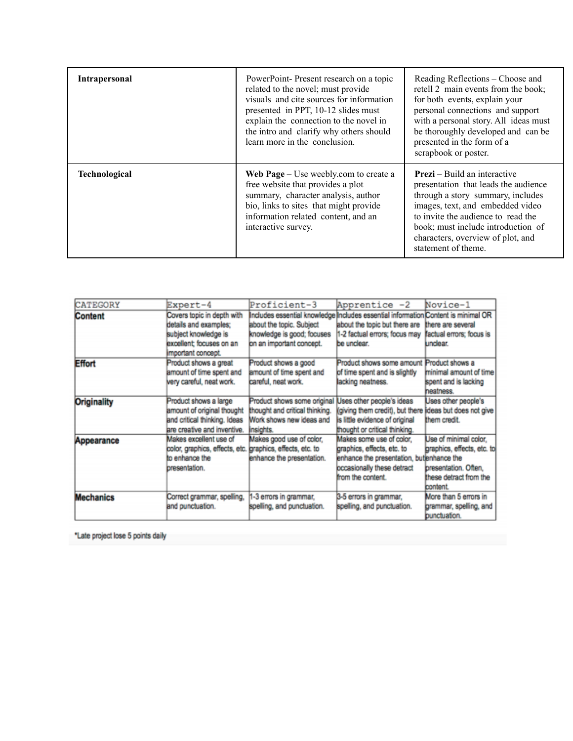| <b>Intrapersonal</b> | PowerPoint-Present research on a topic<br>related to the novel; must provide<br>visuals and cite sources for information<br>presented in PPT, 10-12 slides must<br>explain the connection to the novel in<br>the intro and clarify why others should<br>learn more in the conclusion. | Reading Reflections – Choose and<br>retell 2 main events from the book;<br>for both events, explain your<br>personal connections and support<br>with a personal story. All ideas must<br>be thoroughly developed and can be<br>presented in the form of a<br>scrapbook or poster.            |
|----------------------|---------------------------------------------------------------------------------------------------------------------------------------------------------------------------------------------------------------------------------------------------------------------------------------|----------------------------------------------------------------------------------------------------------------------------------------------------------------------------------------------------------------------------------------------------------------------------------------------|
| <b>Technological</b> | Web Page – Use weebly.com to create a<br>free website that provides a plot<br>summary, character analysis, author<br>bio, links to sites that might provide<br>information related content, and an<br>interactive survey.                                                             | <b>Prezi</b> – Build an interactive<br>presentation that leads the audience<br>through a story summary, includes<br>images, text, and embedded video<br>to invite the audience to read the<br>book; must include introduction of<br>characters, overview of plot, and<br>statement of theme. |

| <b>CATEGORY</b>    | Expert-4                                                  | Proficient-3                   | Apprentice -2                                                                     | Novice-1                   |
|--------------------|-----------------------------------------------------------|--------------------------------|-----------------------------------------------------------------------------------|----------------------------|
|                    |                                                           |                                | Includes essential knowledge Includes essential information Content is minimal OR |                            |
| Content            | Covers topic in depth with                                |                                |                                                                                   |                            |
|                    | details and examples:                                     | about the topic. Subject       | about the topic but there are                                                     | there are several          |
|                    | subject knowledge is                                      | knowledge is good; focuses     | 1-2 factual errors; focus may                                                     | factual errors; focus is   |
|                    | excellent: focuses on an                                  | on an important concept.       | be unclear.                                                                       | undear.                    |
|                    | important concept.                                        |                                |                                                                                   |                            |
| <b>Effort</b>      | Product shows a great                                     | Product shows a good           | Product shows some amount Product shows a                                         |                            |
|                    | amount of time spent and                                  | amount of time spent and       | of time spent and is slightly                                                     | minimal amount of time     |
|                    | very careful, neat work.                                  | careful, neat work.            | lacking neatness.                                                                 | spent and is lacking       |
|                    |                                                           |                                |                                                                                   | heatness.                  |
| <b>Originality</b> | Product shows a large                                     | Product shows some original    | Uses other people's ideas                                                         | Uses other people's        |
|                    | amount of original thought                                | thought and critical thinking. | (giving them credit), but there ideas but does not give                           |                            |
|                    | and critical thinking. Ideas                              | Work shows new ideas and       | is little evidence of original                                                    | them credit.               |
|                    | are creative and inventive.                               | insights.                      | thought or critical thinking.                                                     |                            |
| Appearance         | Makes excellent use of                                    | Makes good use of color,       | Makes some use of color,                                                          | Use of minimal color,      |
|                    | color, graphics, effects, etc. graphics, effects, etc. to |                                | graphics, effects, etc. to                                                        | praphics, effects, etc. to |
|                    | to enhance the                                            | enhance the presentation.      | enhance the presentation, butlenhance the                                         |                            |
|                    | bresentation.                                             |                                | occasionally these detract                                                        | bresentation. Often.       |
|                    |                                                           |                                | from the content.                                                                 | these detract from the     |
|                    |                                                           |                                |                                                                                   | <b>content</b>             |
| <b>Mechanics</b>   | Correct grammar, spelling,                                | 1-3 errors in grammar,         | 3-5 errors in grammar,                                                            | More than 5 errors in      |
|                    | and punctuation.                                          | spelling, and punctuation.     | spelling, and punctuation.                                                        | grammar, spelling, and     |
|                    |                                                           |                                |                                                                                   | bunctuation.               |

\*Late project lose 5 points daily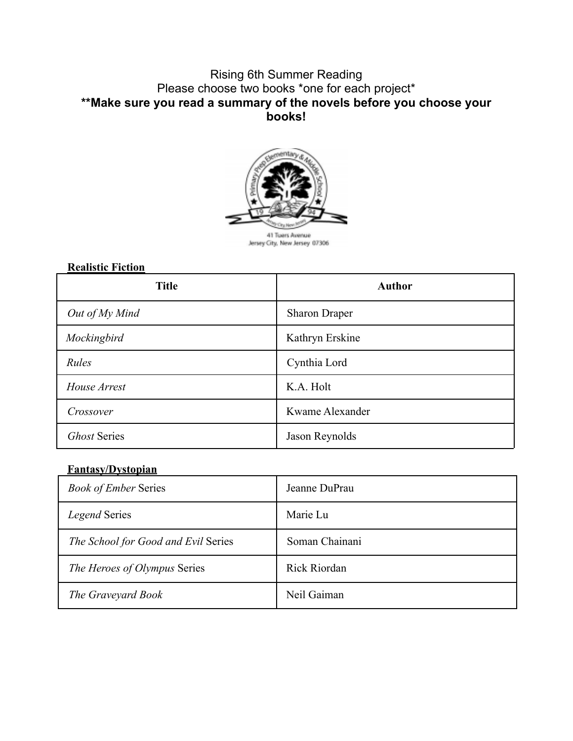#### Rising 6th Summer Reading Please choose two books \*one for each project\* **\*\*Make sure you read a summary of the novels before you choose your books!**



#### **Realistic Fiction**

| <b>Title</b>        | <b>Author</b>        |
|---------------------|----------------------|
| Out of My Mind      | <b>Sharon Draper</b> |
| Mockingbird         | Kathryn Erskine      |
| Rules               | Cynthia Lord         |
| House Arrest        | K.A. Holt            |
| Crossover           | Kwame Alexander      |
| <b>Ghost Series</b> | Jason Reynolds       |

#### **Fantasy/Dystopian**

| <b>Book of Ember Series</b>         | Jeanne DuPrau       |
|-------------------------------------|---------------------|
| Legend Series                       | Marie Lu            |
| The School for Good and Evil Series | Soman Chainani      |
| The Heroes of Olympus Series        | <b>Rick Riordan</b> |
| The Graveyard Book                  | Neil Gaiman         |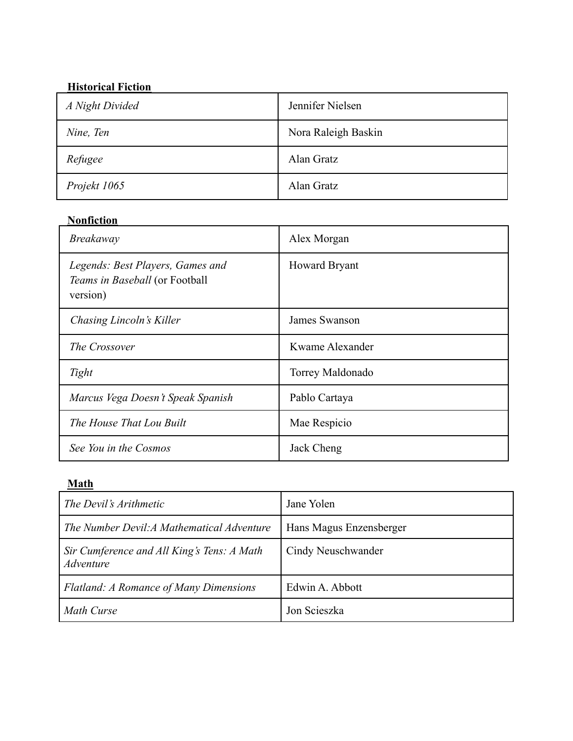#### **Historical Fiction**

| A Night Divided | Jennifer Nielsen    |
|-----------------|---------------------|
| Nine, Ten       | Nora Raleigh Baskin |
| Refugee         | Alan Gratz          |
| Projekt 1065    | Alan Gratz          |

#### **Nonfiction**

| <b>Breakaway</b>                                                               | Alex Morgan          |
|--------------------------------------------------------------------------------|----------------------|
| Legends: Best Players, Games and<br>Teams in Baseball (or Football<br>version) | <b>Howard Bryant</b> |
| Chasing Lincoln's Killer                                                       | James Swanson        |
| The Crossover                                                                  | Kwame Alexander      |
| Tight                                                                          | Torrey Maldonado     |
| Marcus Vega Doesn't Speak Spanish                                              | Pablo Cartaya        |
| The House That Lou Built                                                       | Mae Respicio         |
| See You in the Cosmos                                                          | Jack Cheng           |

#### **Math**

| The Devil's Arithmetic                                  | Jane Yolen              |
|---------------------------------------------------------|-------------------------|
| The Number Devil: A Mathematical Adventure              | Hans Magus Enzensberger |
| Sir Cumference and All King's Tens: A Math<br>Adventure | Cindy Neuschwander      |
| <b>Flatland: A Romance of Many Dimensions</b>           | Edwin A. Abbott         |
| Math Curse                                              | Jon Scieszka            |